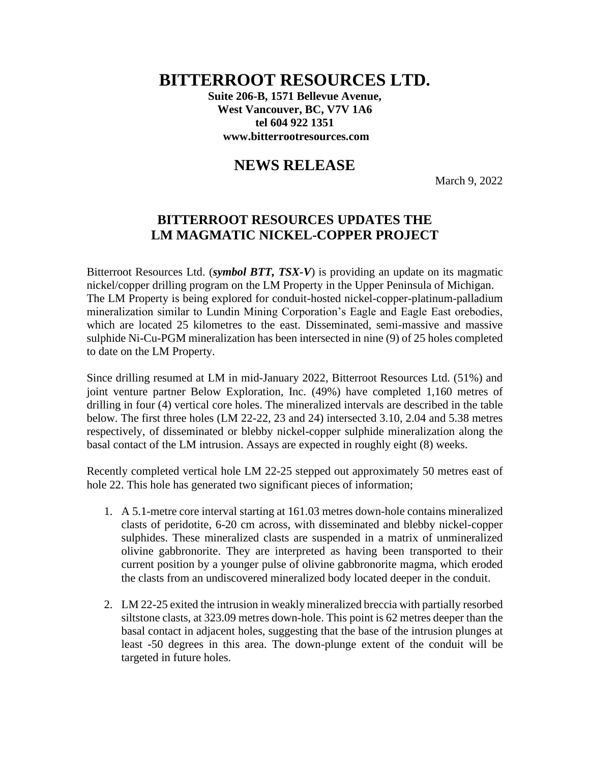# **BITTERROOT RESOURCES LTD.**

**Suite 206-B, 1571 Bellevue Avenue, West Vancouver, BC, V7V 1A6 tel 604 922 1351 www.bitterrootresources.com**

## **NEWS RELEASE**

March 9, 2022

### **BITTERROOT RESOURCES UPDATES THE LM MAGMATIC NICKEL-COPPER PROJECT**

Bitterroot Resources Ltd. (*symbol BTT, TSX-V*) is providing an update on its magmatic nickel/copper drilling program on the LM Property in the Upper Peninsula of Michigan. The LM Property is being explored for conduit-hosted nickel-copper-platinum-palladium mineralization similar to Lundin Mining Corporation's Eagle and Eagle East orebodies, which are located 25 kilometres to the east. Disseminated, semi-massive and massive sulphide Ni-Cu-PGM mineralization has been intersected in nine (9) of 25 holes completed to date on the LM Property.

Since drilling resumed at LM in mid-January 2022, Bitterroot Resources Ltd. (51%) and joint venture partner Below Exploration, Inc. (49%) have completed 1,160 metres of drilling in four (4) vertical core holes. The mineralized intervals are described in the table below. The first three holes (LM 22-22, 23 and 24) intersected 3.10, 2.04 and 5.38 metres respectively, of disseminated or blebby nickel-copper sulphide mineralization along the basal contact of the LM intrusion. Assays are expected in roughly eight (8) weeks.

Recently completed vertical hole LM 22-25 stepped out approximately 50 metres east of hole 22. This hole has generated two significant pieces of information;

- 1. A 5.1-metre core interval starting at 161.03 metres down-hole contains mineralized clasts of peridotite, 6-20 cm across, with disseminated and blebby nickel-copper sulphides. These mineralized clasts are suspended in a matrix of unmineralized olivine gabbronorite. They are interpreted as having been transported to their current position by a younger pulse of olivine gabbronorite magma, which eroded the clasts from an undiscovered mineralized body located deeper in the conduit.
- 2. LM 22-25 exited the intrusion in weakly mineralized breccia with partially resorbed siltstone clasts, at 323.09 metres down-hole. This point is 62 metres deeper than the basal contact in adjacent holes, suggesting that the base of the intrusion plunges at least -50 degrees in this area. The down-plunge extent of the conduit will be targeted in future holes.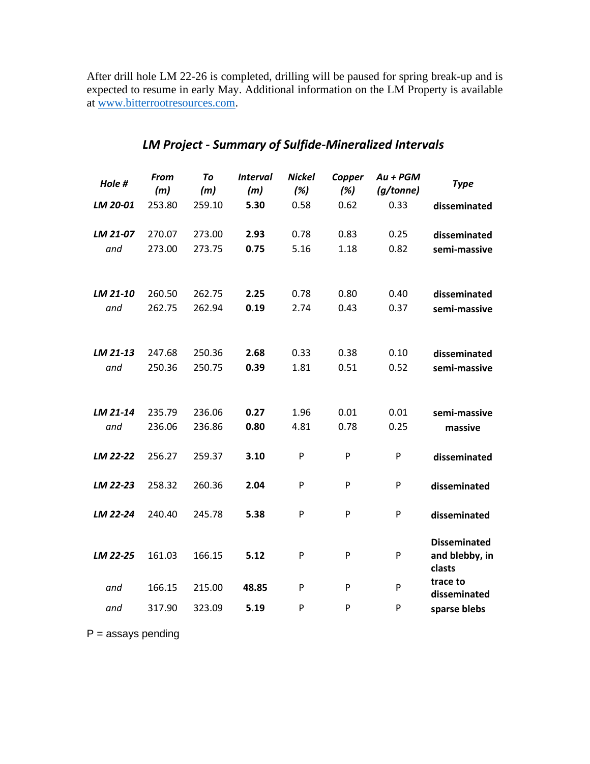After drill hole LM 22-26 is completed, drilling will be paused for spring break-up and is expected to resume in early May. Additional information on the LM Property is available at [www.bitterrootresources.com.](http://www.bitterrootresources.com/)

| Hole #          | <b>From</b><br>(m) | To<br>(m)        | <b>Interval</b><br>(m) | <b>Nickel</b><br>(%) | Copper<br>(%) | $Au + PGM$<br>(g/tonne) | <b>Type</b>                                     |
|-----------------|--------------------|------------------|------------------------|----------------------|---------------|-------------------------|-------------------------------------------------|
| LM 20-01        | 253.80             | 259.10           | 5.30                   | 0.58                 | 0.62          | 0.33                    | disseminated                                    |
| LM 21-07        | 270.07             | 273.00           | 2.93                   | 0.78                 | 0.83          | 0.25                    | disseminated                                    |
| and             | 273.00             | 273.75           | 0.75                   | 5.16                 | 1.18          | 0.82                    | semi-massive                                    |
| LM 21-10        | 260.50             | 262.75           | 2.25                   | 0.78                 | 0.80          | 0.40                    | disseminated                                    |
| and             | 262.75             | 262.94           | 0.19                   | 2.74                 | 0.43          | 0.37                    | semi-massive                                    |
| LM 21-13        | 247.68<br>250.36   | 250.36<br>250.75 | 2.68<br>0.39           | 0.33<br>1.81         | 0.38<br>0.51  | 0.10<br>0.52            | disseminated                                    |
| and<br>LM 21-14 | 235.79             | 236.06           | 0.27                   | 1.96                 | 0.01          | 0.01                    | semi-massive<br>semi-massive                    |
| and             | 236.06             | 236.86           | 0.80                   | 4.81                 | 0.78          | 0.25                    | massive                                         |
| LM 22-22        | 256.27             | 259.37           | 3.10                   | P                    | P             | P                       | disseminated                                    |
| LM 22-23        | 258.32             | 260.36           | 2.04                   | P                    | P             | P                       | disseminated                                    |
| LM 22-24        | 240.40             | 245.78           | 5.38                   | P                    | P             | P                       | disseminated                                    |
| LM 22-25        | 161.03             | 166.15           | 5.12                   | P                    | P             | P                       | <b>Disseminated</b><br>and blebby, in<br>clasts |
| and             | 166.15             | 215.00           | 48.85                  | P                    | P             | P                       | trace to<br>disseminated                        |
| and             | 317.90             | 323.09           | 5.19                   | P                    | P             | P                       | sparse blebs                                    |

### *LM Project - Summary of Sulfide-Mineralized Intervals*

 $P =$  assays pending